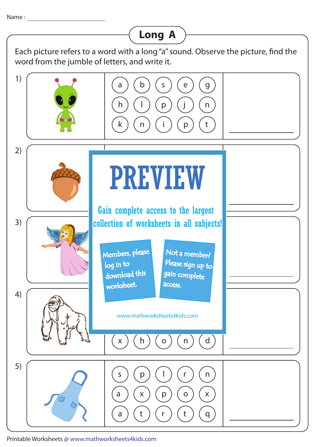## Each picture refers to a word with a long "a" sound. Observe the picture, find the word from the jumble of letters, and write it. a ) ( b ) ( s ) ( e ) ( g h ) ( l ) ( p ) ( j ) ( n k ) ( n ) ( i ) ( p ) ( t 1) 2) s c f r f A F V I F W 3) z o godine za obrazu za obrazu za bers, please Not a member? nload this gain complete 4) a b y r un particular a b y r un particular a b y particular a b y particular a b y particular a b y particular p p e s e x ) ( h ) ( o ) ( n ) ( d 5) s ) ( p ) ( l ) ( r ) ( n a ) ( x ) ( p ) ( o ) ( x a ) ( t ) ( r ) ( t ) ( q **Long A** PREVIEW www.mathworksheets4kids.com Members, please download this worksheet. log in to Please sign up to **access** Gain complete access to the largest collection of worksheets in all subjects!

Printable Worksheets @ www.mathworksheets4kids.com